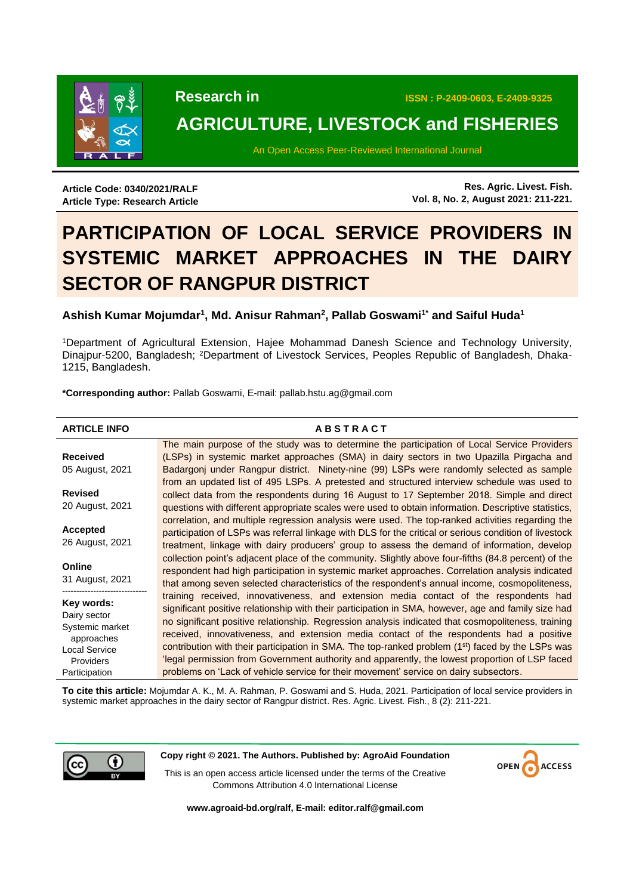

**Research in ISSN : P-2409-0603, E-2409-9325** 

# **AGRICULTURE, LIVESTOCK and FISHERIES**

An Open Access Peer-Reviewed International Journal

**Article Code: 0340/2021/RALF Article Type: Research Article**

**Res. Agric. Livest. Fish. Vol. 8, No. 2, August 2021: 211-221.**

# **PARTICIPATION OF LOCAL SERVICE PROVIDERS IN SYSTEMIC MARKET APPROACHES IN THE DAIRY SECTOR OF RANGPUR DISTRICT**

# **Ashish Kumar Mojumdar<sup>1</sup> , Md. Anisur Rahman<sup>2</sup> , Pallab Goswami1\* and Saiful Huda<sup>1</sup>**

<sup>1</sup>Department of Agricultural Extension, Hajee Mohammad Danesh Science and Technology University, Dinajpur-5200, Bangladesh; 2Department of Livestock Services, Peoples Republic of Bangladesh, Dhaka-1215, Bangladesh.

**\*Corresponding author:** Pallab Goswami, E-mail: pallab.hstu.ag@gmail.com

| <b>ARTICLE INFO</b>        | <b>ABSTRACT</b>                                                                                               |
|----------------------------|---------------------------------------------------------------------------------------------------------------|
|                            | The main purpose of the study was to determine the participation of Local Service Providers                   |
| <b>Received</b>            | (LSPs) in systemic market approaches (SMA) in dairy sectors in two Upazilla Pirgacha and                      |
| 05 August, 2021            | Badargonj under Rangpur district. Ninety-nine (99) LSPs were randomly selected as sample                      |
|                            | from an updated list of 495 LSPs. A pretested and structured interview schedule was used to                   |
| <b>Revised</b>             | collect data from the respondents during 16 August to 17 September 2018. Simple and direct                    |
| 20 August, 2021            | questions with different appropriate scales were used to obtain information. Descriptive statistics,          |
|                            | correlation, and multiple regression analysis were used. The top-ranked activities regarding the              |
| Accepted                   | participation of LSPs was referral linkage with DLS for the critical or serious condition of livestock        |
| 26 August, 2021            | treatment, linkage with dairy producers' group to assess the demand of information, develop                   |
|                            | collection point's adjacent place of the community. Slightly above four-fifths (84.8 percent) of the          |
| Online                     | respondent had high participation in systemic market approaches. Correlation analysis indicated               |
| 31 August, 2021            | that among seven selected characteristics of the respondent's annual income, cosmopoliteness,                 |
|                            | training received, innovativeness, and extension media contact of the respondents had                         |
| Key words:<br>Dairy sector | significant positive relationship with their participation in SMA, however, age and family size had           |
| Systemic market            | no significant positive relationship. Regression analysis indicated that cosmopoliteness, training            |
| approaches                 | received, innovativeness, and extension media contact of the respondents had a positive                       |
| <b>Local Service</b>       | contribution with their participation in SMA. The top-ranked problem (1 <sup>st</sup> ) faced by the LSPs was |
| Providers                  | legal permission from Government authority and apparently, the lowest proportion of LSP faced                 |
| Participation              | problems on 'Lack of vehicle service for their movement' service on dairy subsectors.                         |

**To cite this article:** Mojumdar A. K., M. A. Rahman, P. Goswami and S. Huda, 2021. Participation of local service providers in systemic market approaches in the dairy sector of Rangpur district. Res. Agric. Livest. Fish., 8 (2): 211-221.



**Copy right © 2021. The Authors. Published by: AgroAid Foundation**

This is an open access article licensed under the terms of the Creative Commons Attribution 4.0 International License



**[www.agroaid-bd.org/ralf,](http://www.agroaid-bd.org/ralf) E-mail: [editor.ralf@gmail.com](mailto:editor.ralf@gmail.com)**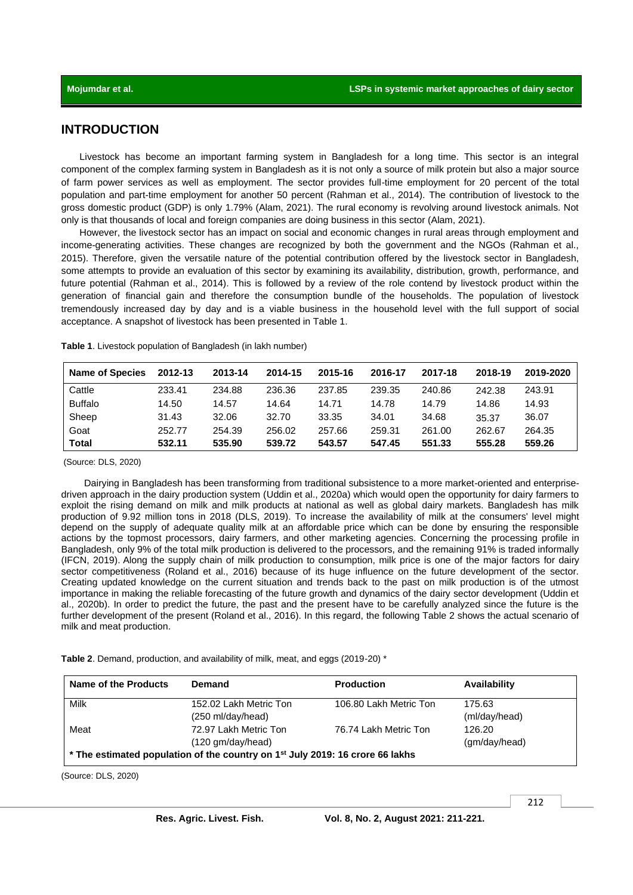# **INTRODUCTION**

Livestock has become an important farming system in Bangladesh for a long time. This sector is an integral component of the complex farming system in Bangladesh as it is not only a source of milk protein but also a major source of farm power services as well as employment. The sector provides full-time employment for 20 percent of the total population and part-time employment for another 50 percent (Rahman et al., 2014). The contribution of livestock to the gross domestic product (GDP) is only 1.79% (Alam, 2021). The rural economy is revolving around livestock animals. Not only is that thousands of local and foreign companies are doing business in this sector (Alam, 2021).

However, the livestock sector has an impact on social and economic changes in rural areas through employment and income-generating activities. These changes are recognized by both the government and the NGOs (Rahman et al., 2015). Therefore, given the versatile nature of the potential contribution offered by the livestock sector in Bangladesh, some attempts to provide an evaluation of this sector by examining its availability, distribution, growth, performance, and future potential (Rahman et al., 2014). This is followed by a review of the role contend by livestock product within the generation of financial gain and therefore the consumption bundle of the households. The population of livestock tremendously increased day by day and is a viable business in the household level with the full support of social acceptance. A snapshot of livestock has been presented in Table 1.

| <b>Name of Species</b> | 2012-13 | 2013-14 | 2014-15 | 2015-16 | 2016-17 | 2017-18 | 2018-19 | 2019-2020 |
|------------------------|---------|---------|---------|---------|---------|---------|---------|-----------|
| Cattle                 | 233.41  | 234.88  | 236.36  | 237.85  | 239.35  | 240.86  | 242.38  | 243.91    |
| <b>Buffalo</b>         | 14.50   | 14.57   | 14.64   | 14.71   | 14.78   | 14.79   | 14.86   | 14.93     |
| Sheep                  | 31.43   | 32.06   | 32.70   | 33.35   | 34.01   | 34.68   | 35.37   | 36.07     |
| Goat                   | 252.77  | 254.39  | 256.02  | 257.66  | 259.31  | 261.00  | 262.67  | 264.35    |
| <b>Total</b>           | 532.11  | 535.90  | 539.72  | 543.57  | 547.45  | 551.33  | 555.28  | 559.26    |

**Table 1**. Livestock population of Bangladesh (in lakh number)

(Source: DLS, 2020)

Dairying in Bangladesh has been transforming from traditional subsistence to a more market-oriented and enterprisedriven approach in the dairy production system (Uddin et al., 2020a) which would open the opportunity for dairy farmers to exploit the rising demand on milk and milk products at national as well as global dairy markets. Bangladesh has milk production of 9.92 million tons in 2018 (DLS, 2019). To increase the availability of milk at the consumers' level might depend on the supply of adequate quality milk at an affordable price which can be done by ensuring the responsible actions by the topmost processors, dairy farmers, and other marketing agencies. Concerning the processing profile in Bangladesh, only 9% of the total milk production is delivered to the processors, and the remaining 91% is traded informally (IFCN, 2019). Along the supply chain of milk production to consumption, milk price is one of the major factors for dairy sector competitiveness (Roland et al., 2016) because of its huge influence on the future development of the sector. Creating updated knowledge on the current situation and trends back to the past on milk production is of the utmost importance in making the reliable forecasting of the future growth and dynamics of the dairy sector development (Uddin et al., 2020b). In order to predict the future, the past and the present have to be carefully analyzed since the future is the further development of the present (Roland et al., 2016). In this regard, the following Table 2 shows the actual scenario of milk and meat production.

**Table 2**. Demand, production, and availability of milk, meat, and eggs (2019-20) \*

| Name of the Products                                                                      | Demand                      | <b>Production</b>      | Availability  |  |  |
|-------------------------------------------------------------------------------------------|-----------------------------|------------------------|---------------|--|--|
| Milk                                                                                      | 152.02 Lakh Metric Ton      | 106.80 Lakh Metric Ton | 175.63        |  |  |
|                                                                                           | (250 ml/day/head)           |                        | (ml/day/head) |  |  |
| Meat                                                                                      | 72.97 Lakh Metric Ton       | 76.74 Lakh Metric Ton  | 126.20        |  |  |
|                                                                                           | $(120 \text{ gm/day/head})$ |                        | (gm/day/head) |  |  |
| * The estimated population of the country on 1 <sup>st</sup> July 2019: 16 crore 66 lakhs |                             |                        |               |  |  |

(Source: DLS, 2020)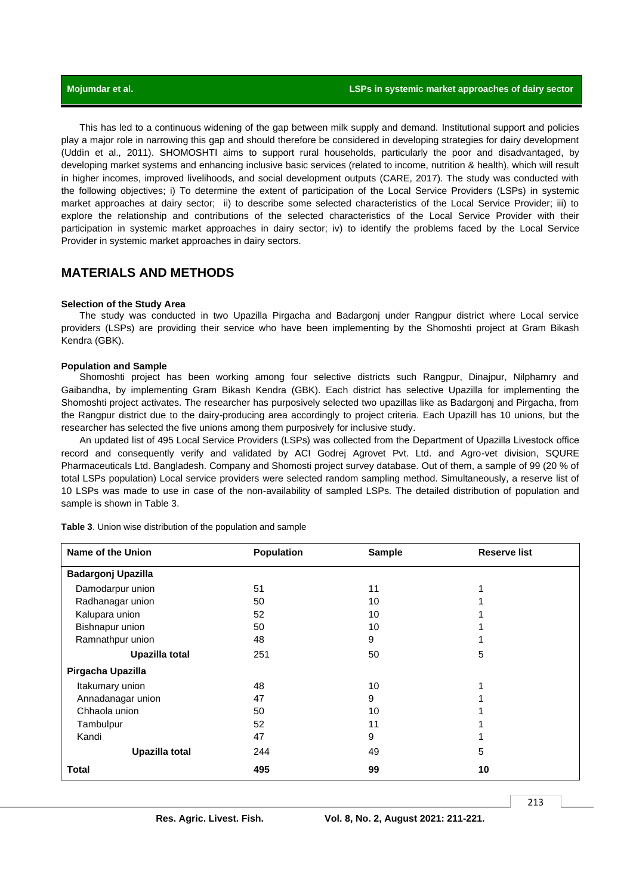This has led to a continuous widening of the gap between milk supply and demand. Institutional support and policies play a major role in narrowing this gap and should therefore be considered in developing strategies for dairy development (Uddin et al.*,* 2011). SHOMOSHTI aims to support rural households, particularly the poor and disadvantaged, by developing market systems and enhancing inclusive basic services (related to income, nutrition & health), which will result in higher incomes, improved livelihoods, and social development outputs (CARE, 2017). The study was conducted with the following objectives; i) To determine the extent of participation of the Local Service Providers (LSPs) in systemic market approaches at dairy sector; ii) to describe some selected characteristics of the Local Service Provider; iii) to explore the relationship and contributions of the selected characteristics of the Local Service Provider with their participation in systemic market approaches in dairy sector; iv) to identify the problems faced by the Local Service Provider in systemic market approaches in dairy sectors.

# **MATERIALS AND METHODS**

#### **Selection of the Study Area**

The study was conducted in two Upazilla Pirgacha and Badargonj under Rangpur district where Local service providers (LSPs) are providing their service who have been implementing by the Shomoshti project at Gram Bikash Kendra (GBK).

#### **Population and Sample**

Shomoshti project has been working among four selective districts such Rangpur, Dinajpur, Nilphamry and Gaibandha, by implementing Gram Bikash Kendra (GBK). Each district has selective Upazilla for implementing the Shomoshti project activates. The researcher has purposively selected two upazillas like as Badargonj and Pirgacha, from the Rangpur district due to the dairy-producing area accordingly to project criteria. Each Upazill has 10 unions, but the researcher has selected the five unions among them purposively for inclusive study.

An updated list of 495 Local Service Providers (LSPs) was collected from the Department of Upazilla Livestock office record and consequently verify and validated by ACI Godrej Agrovet Pvt. Ltd. and Agro-vet division, SQURE Pharmaceuticals Ltd. Bangladesh. Company and Shomosti project survey database. Out of them, a sample of 99 (20 % of total LSPs population) Local service providers were selected random sampling method. Simultaneously, a reserve list of 10 LSPs was made to use in case of the non-availability of sampled LSPs. The detailed distribution of population and sample is shown in Table 3.

| Name of the Union         | Population | Sample | <b>Reserve list</b> |
|---------------------------|------------|--------|---------------------|
| <b>Badargonj Upazilla</b> |            |        |                     |
| Damodarpur union          | 51         | 11     |                     |
| Radhanagar union          | 50         | 10     |                     |
| Kalupara union            | 52         | 10     |                     |
| Bishnapur union           | 50         | 10     |                     |
| Ramnathpur union          | 48         | 9      |                     |
| Upazilla total            | 251        | 50     | 5                   |
| Pirgacha Upazilla         |            |        |                     |
| Itakumary union           | 48         | 10     |                     |
| Annadanagar union         | 47         | 9      |                     |
| Chhaola union             | 50         | 10     |                     |
| Tambulpur                 | 52         | 11     |                     |
| Kandi                     | 47         | 9      |                     |
| Upazilla total            | 244        | 49     | 5                   |
| Total                     | 495        | 99     | 10                  |

**Table 3**. Union wise distribution of the population and sample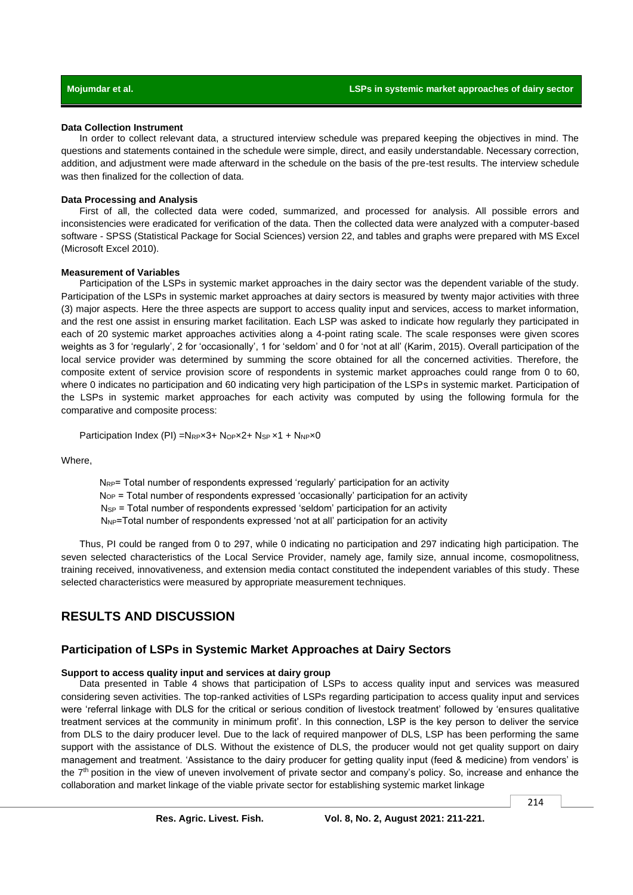#### **Data Collection Instrument**

In order to collect relevant data, a structured interview schedule was prepared keeping the objectives in mind. The questions and statements contained in the schedule were simple, direct, and easily understandable. Necessary correction, addition, and adjustment were made afterward in the schedule on the basis of the pre-test results. The interview schedule was then finalized for the collection of data.

#### **Data Processing and Analysis**

First of all, the collected data were coded, summarized, and processed for analysis. All possible errors and inconsistencies were eradicated for verification of the data. Then the collected data were analyzed with a computer-based software - SPSS (Statistical Package for Social Sciences) version 22, and tables and graphs were prepared with MS Excel (Microsoft Excel 2010).

#### **Measurement of Variables**

Participation of the LSPs in systemic market approaches in the dairy sector was the dependent variable of the study. Participation of the LSPs in systemic market approaches at dairy sectors is measured by twenty major activities with three (3) major aspects. Here the three aspects are support to access quality input and services, access to market information, and the rest one assist in ensuring market facilitation. Each LSP was asked to indicate how regularly they participated in each of 20 systemic market approaches activities along a 4-point rating scale. The scale responses were given scores weights as 3 for 'regularly', 2 for 'occasionally', 1 for 'seldom' and 0 for 'not at all' (Karim, 2015). Overall participation of the local service provider was determined by summing the score obtained for all the concerned activities. Therefore, the composite extent of service provision score of respondents in systemic market approaches could range from 0 to 60, where 0 indicates no participation and 60 indicating very high participation of the LSPs in systemic market. Participation of the LSPs in systemic market approaches for each activity was computed by using the following formula for the comparative and composite process:

Participation Index (PI) = $N_{RP} \times 3+ N_{OP} \times 2+ N_{SP} \times 1+ N_{NP} \times 0$ 

Where,

NRP= Total number of respondents expressed 'regularly' participation for an activity  $N_{OP}$  = Total number of respondents expressed 'occasionally' participation for an activity NSP = Total number of respondents expressed 'seldom' participation for an activity  $N_{NP}$ =Total number of respondents expressed 'not at all' participation for an activity

Thus, PI could be ranged from 0 to 297, while 0 indicating no participation and 297 indicating high participation. The seven selected characteristics of the Local Service Provider, namely age, family size, annual income, cosmopolitness, training received, innovativeness, and extension media contact constituted the independent variables of this study. These selected characteristics were measured by appropriate measurement techniques.

# **RESULTS AND DISCUSSION**

### **Participation of LSPs in Systemic Market Approaches at Dairy Sectors**

#### **Support to access quality input and services at dairy group**

Data presented in Table 4 shows that participation of LSPs to access quality input and services was measured considering seven activities. The top-ranked activities of LSPs regarding participation to access quality input and services were 'referral linkage with DLS for the critical or serious condition of livestock treatment' followed by 'ensures qualitative treatment services at the community in minimum profit'. In this connection, LSP is the key person to deliver the service from DLS to the dairy producer level. Due to the lack of required manpower of DLS, LSP has been performing the same support with the assistance of DLS. Without the existence of DLS, the producer would not get quality support on dairy management and treatment. 'Assistance to the dairy producer for getting quality input (feed & medicine) from vendors' is the 7<sup>th</sup> position in the view of uneven involvement of private sector and company's policy. So, increase and enhance the collaboration and market linkage of the viable private sector for establishing systemic market linkage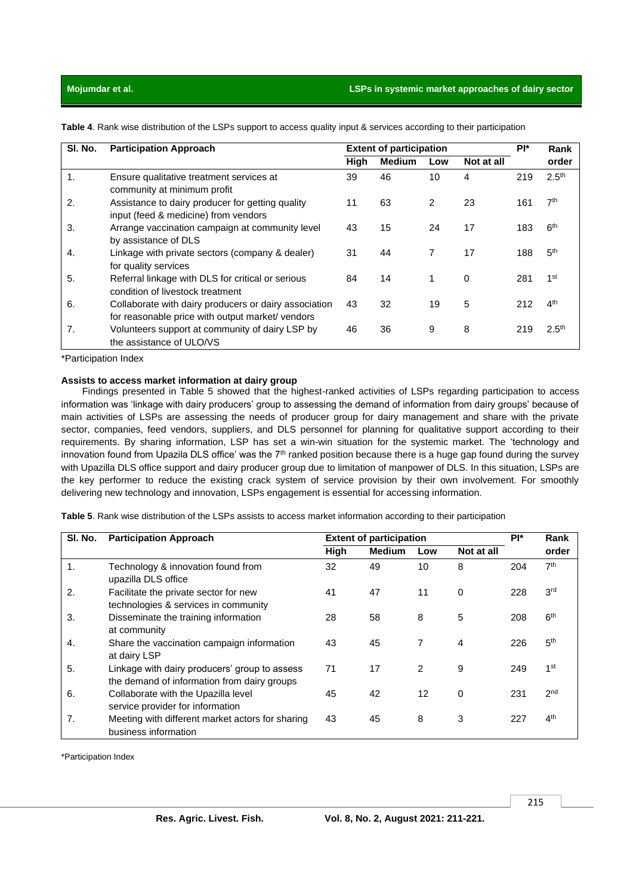### **Mojumdar et al. LSPs in systemic market approaches of dairy sector**

| SI. No. | <b>Participation Approach</b>                                                                             | <b>Extent of participation</b> |               |                |            | PI* | Rank              |
|---------|-----------------------------------------------------------------------------------------------------------|--------------------------------|---------------|----------------|------------|-----|-------------------|
|         |                                                                                                           | High                           | <b>Medium</b> | Low            | Not at all |     | order             |
| 1.      | Ensure qualitative treatment services at<br>community at minimum profit                                   | 39                             | 46            | 10             | 4          | 219 | 2.5 <sup>th</sup> |
| 2.      | Assistance to dairy producer for getting quality<br>input (feed & medicine) from vendors                  | 11                             | 63            | $\overline{2}$ | 23         | 161 | 7 <sup>th</sup>   |
| 3.      | Arrange vaccination campaign at community level<br>by assistance of DLS                                   | 43                             | 15            | 24             | 17         | 183 | 6 <sup>th</sup>   |
| 4.      | Linkage with private sectors (company & dealer)<br>for quality services                                   | 31                             | 44            | 7              | 17         | 188 | 5 <sup>th</sup>   |
| 5.      | Referral linkage with DLS for critical or serious<br>condition of livestock treatment                     | 84                             | 14            |                | $\Omega$   | 281 | 1st               |
| 6.      | Collaborate with dairy producers or dairy association<br>for reasonable price with output market/ vendors | 43                             | 32            | 19             | 5          | 212 | ⊿th               |
| 7.      | Volunteers support at community of dairy LSP by<br>the assistance of ULO/VS                               | 46                             | 36            | 9              | 8          | 219 | 2.5 <sup>th</sup> |

**Table 4**. Rank wise distribution of the LSPs support to access quality input & services according to their participation

\*Participation Index

### **Assists to access market information at dairy group**

Findings presented in Table 5 showed that the highest-ranked activities of LSPs regarding participation to access information was 'linkage with dairy producers' group to assessing the demand of information from dairy groups' because of main activities of LSPs are assessing the needs of producer group for dairy management and share with the private sector, companies, feed vendors, suppliers, and DLS personnel for planning for qualitative support according to their requirements. By sharing information, LSP has set a win-win situation for the systemic market. The 'technology and innovation found from Upazila DLS office' was the  $7<sup>th</sup>$  ranked position because there is a huge gap found during the survey with Upazilla DLS office support and dairy producer group due to limitation of manpower of DLS. In this situation, LSPs are the key performer to reduce the existing crack system of service provision by their own involvement. For smoothly delivering new technology and innovation, LSPs engagement is essential for accessing information.

**Table 5**. Rank wise distribution of the LSPs assists to access market information according to their participation

| SI. No. | <b>Participation Approach</b>                                                                | <b>Extent of participation</b> |               |     |            | PI* | Rank            |
|---------|----------------------------------------------------------------------------------------------|--------------------------------|---------------|-----|------------|-----|-----------------|
|         |                                                                                              | High                           | <b>Medium</b> | Low | Not at all |     | order           |
| 1.      | Technology & innovation found from<br>upazilla DLS office                                    | 32                             | 49            | 10  | 8          | 204 | 7 <sup>th</sup> |
| 2.      | Facilitate the private sector for new<br>technologies & services in community                | 41                             | 47            | 11  | $\Omega$   | 228 | 3 <sup>rd</sup> |
| 3.      | Disseminate the training information<br>at community                                         | 28                             | 58            | 8   | 5          | 208 | 6 <sup>th</sup> |
| 4.      | Share the vaccination campaign information<br>at dairy LSP                                   | 43                             | 45            | 7   | 4          | 226 | 5 <sup>th</sup> |
| 5.      | Linkage with dairy producers' group to assess<br>the demand of information from dairy groups | 71                             | 17            | 2   | 9          | 249 | 1 <sub>st</sub> |
| 6.      | Collaborate with the Upazilla level<br>service provider for information                      | 45                             | 42            | 12  | 0          | 231 | 2 <sub>nd</sub> |
| 7.      | Meeting with different market actors for sharing<br>business information                     | 43                             | 45            | 8   | 3          | 227 | 4 <sup>th</sup> |

\*Participation Index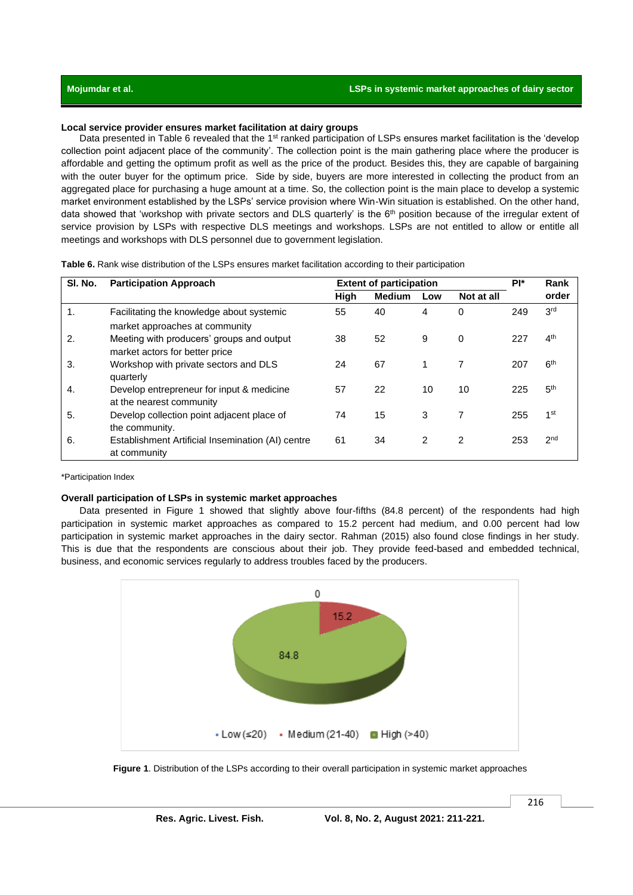### **Local service provider ensures market facilitation at dairy groups**

Data presented in Table 6 revealed that the 1<sup>st</sup> ranked participation of LSPs ensures market facilitation is the 'develop collection point adjacent place of the community'. The collection point is the main gathering place where the producer is affordable and getting the optimum profit as well as the price of the product. Besides this, they are capable of bargaining with the outer buyer for the optimum price. Side by side, buyers are more interested in collecting the product from an aggregated place for purchasing a huge amount at a time. So, the collection point is the main place to develop a systemic market environment established by the LSPs' service provision where Win-Win situation is established. On the other hand, data showed that 'workshop with private sectors and DLS quarterly' is the  $6<sup>th</sup>$  position because of the irregular extent of service provision by LSPs with respective DLS meetings and workshops. LSPs are not entitled to allow or entitle all meetings and workshops with DLS personnel due to government legislation.

| Table 6. Rank wise distribution of the LSPs ensures market facilitation according to their participation |
|----------------------------------------------------------------------------------------------------------|
|----------------------------------------------------------------------------------------------------------|

| SI. No. | <b>Extent of participation</b><br><b>Participation Approach</b>             |      |               |     | PI*        | Rank |                 |
|---------|-----------------------------------------------------------------------------|------|---------------|-----|------------|------|-----------------|
|         |                                                                             | High | <b>Medium</b> | Low | Not at all |      | order           |
| 1.      | Facilitating the knowledge about systemic<br>market approaches at community | 55   | 40            | 4   | 0          | 249  | 3 <sup>rd</sup> |
| 2.      | Meeting with producers' groups and output<br>market actors for better price | 38   | 52            | 9   | $\Omega$   | 227  | 4 <sup>th</sup> |
| 3.      | Workshop with private sectors and DLS<br>quarterly                          | 24   | 67            | 1   |            | 207  | 6 <sup>th</sup> |
| 4.      | Develop entrepreneur for input & medicine<br>at the nearest community       | 57   | 22            | 10  | 10         | 225  | 5 <sup>th</sup> |
| 5.      | Develop collection point adjacent place of<br>the community.                | 74   | 15            | 3   |            | 255  | 1 <sub>st</sub> |
| 6.      | Establishment Artificial Insemination (AI) centre<br>at community           | 61   | 34            | 2   | 2          | 253  | 2 <sub>nd</sub> |

#### \*Participation Index

#### **Overall participation of LSPs in systemic market approaches**

Data presented in Figure 1 showed that slightly above four-fifths (84.8 percent) of the respondents had high participation in systemic market approaches as compared to 15.2 percent had medium, and 0.00 percent had low participation in systemic market approaches in the dairy sector. Rahman (2015) also found close findings in her study. This is due that the respondents are conscious about their job. They provide feed-based and embedded technical, business, and economic services regularly to address troubles faced by the producers.



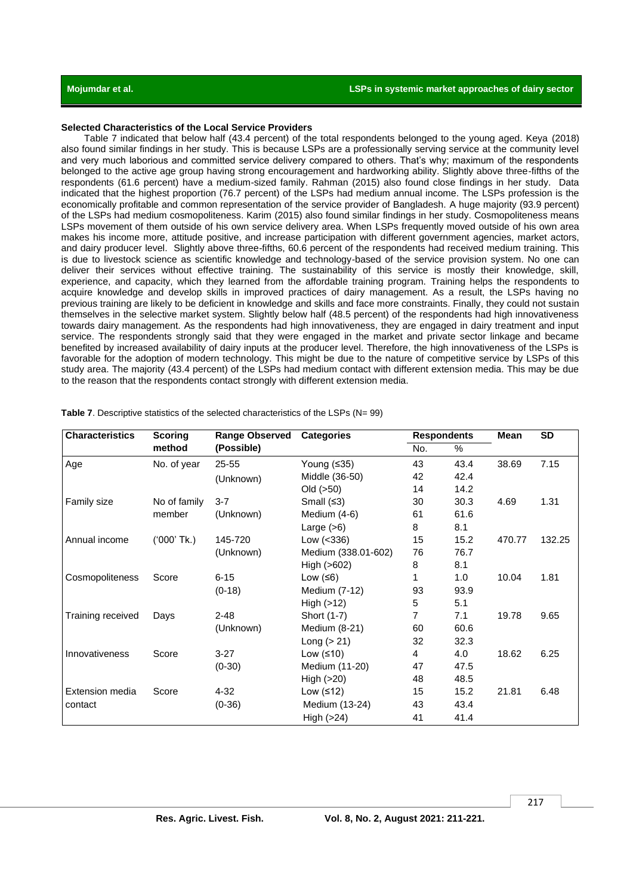#### **Selected Characteristics of the Local Service Providers**

Table 7 indicated that below half (43.4 percent) of the total respondents belonged to the young aged. Keya (2018) also found similar findings in her study. This is because LSPs are a professionally serving service at the community level and very much laborious and committed service delivery compared to others. That's why; maximum of the respondents belonged to the active age group having strong encouragement and hardworking ability. Slightly above three-fifths of the respondents (61.6 percent) have a medium-sized family. Rahman (2015) also found close findings in her study. Data indicated that the highest proportion (76.7 percent) of the LSPs had medium annual income. The LSPs profession is the economically profitable and common representation of the service provider of Bangladesh. A huge majority (93.9 percent) of the LSPs had medium cosmopoliteness. Karim (2015) also found similar findings in her study. Cosmopoliteness means LSPs movement of them outside of his own service delivery area. When LSPs frequently moved outside of his own area makes his income more, attitude positive, and increase participation with different government agencies, market actors, and dairy producer level. Slightly above three-fifths, 60.6 percent of the respondents had received medium training. This is due to livestock science as scientific knowledge and technology-based of the service provision system. No one can deliver their services without effective training. The sustainability of this service is mostly their knowledge, skill, experience, and capacity, which they learned from the affordable training program. Training helps the respondents to acquire knowledge and develop skills in improved practices of dairy management. As a result, the LSPs having no previous training are likely to be deficient in knowledge and skills and face more constraints. Finally, they could not sustain themselves in the selective market system. Slightly below half (48.5 percent) of the respondents had high innovativeness towards dairy management. As the respondents had high innovativeness, they are engaged in dairy treatment and input service. The respondents strongly said that they were engaged in the market and private sector linkage and became benefited by increased availability of dairy inputs at the producer level. Therefore, the high innovativeness of the LSPs is favorable for the adoption of modern technology. This might be due to the nature of competitive service by LSPs of this study area. The majority (43.4 percent) of the LSPs had medium contact with different extension media. This may be due to the reason that the respondents contact strongly with different extension media.

| <b>Characteristics</b> | <b>Scoring</b> | <b>Range Observed</b> | <b>Categories</b>   | <b>Respondents</b> |      | Mean   | <b>SD</b> |
|------------------------|----------------|-----------------------|---------------------|--------------------|------|--------|-----------|
|                        | method         | (Possible)            |                     | No.                | %    |        |           |
| Age                    | No. of year    | 25-55                 | Young $(535)$       | 43                 | 43.4 | 38.69  | 7.15      |
|                        |                | (Unknown)             | Middle (36-50)      | 42                 | 42.4 |        |           |
|                        |                |                       | Old $(>50)$         | 14                 | 14.2 |        |           |
| Family size            | No of family   | $3 - 7$               | Small $(≤3)$        | 30                 | 30.3 | 4.69   | 1.31      |
|                        | member         | (Unknown)             | Medium (4-6)        | 61                 | 61.6 |        |           |
|                        |                |                       | Large $(>6)$        | 8                  | 8.1  |        |           |
| Annual income          | ('000' Tk.)    | 145-720               | Low $(<336)$        | 15                 | 15.2 | 470.77 | 132.25    |
|                        |                | (Unknown)             | Medium (338.01-602) | 76                 | 76.7 |        |           |
|                        |                |                       | High (>602)         | 8                  | 8.1  |        |           |
| Cosmopoliteness        | Score          | $6 - 15$              | Low $(56)$          |                    | 1.0  | 10.04  | 1.81      |
|                        |                | $(0-18)$              | Medium (7-12)       | 93                 | 93.9 |        |           |
|                        |                |                       | High $(>12)$        | 5                  | 5.1  |        |           |
| Training received      | Days           | $2 - 48$              | Short (1-7)         | 7                  | 7.1  | 19.78  | 9.65      |
|                        |                | (Unknown)             | Medium $(8-21)$     | 60                 | 60.6 |        |           |
|                        |                |                       | Long $(>21)$        | 32                 | 32.3 |        |           |
| Innovativeness         | Score          | $3-27$                | Low $(≤10)$         | 4                  | 4.0  | 18.62  | 6.25      |
|                        |                | $(0-30)$              | Medium (11-20)      | 47                 | 47.5 |        |           |
|                        |                |                       | High (>20)          | 48                 | 48.5 |        |           |
| Extension media        | Score          | $4 - 32$              | Low $(≤12)$         | 15                 | 15.2 | 21.81  | 6.48      |
| contact                |                | $(0-36)$              | Medium (13-24)      | 43                 | 43.4 |        |           |
|                        |                |                       | High $(>24)$        | 41                 | 41.4 |        |           |

**Table 7**. Descriptive statistics of the selected characteristics of the LSPs (N= 99)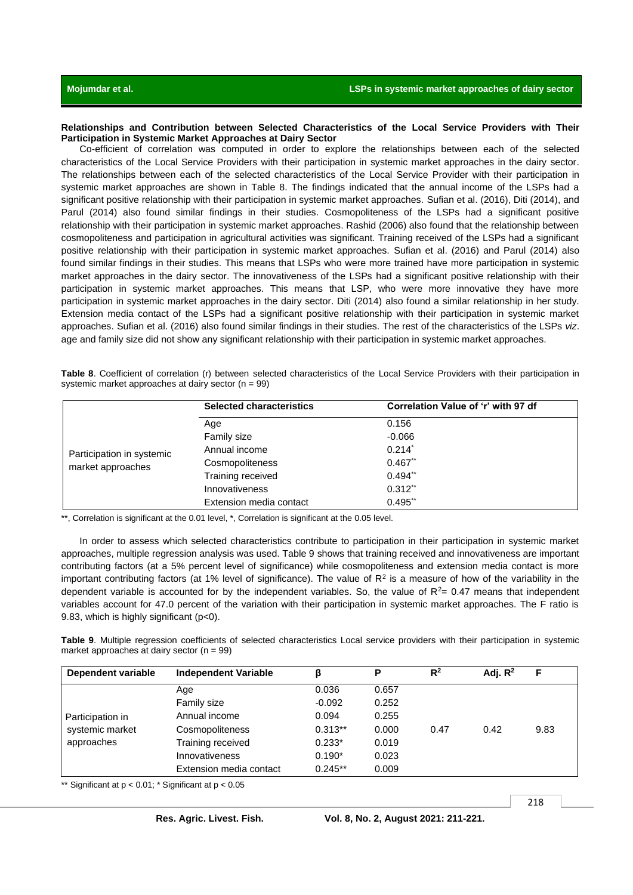#### **Relationships and Contribution between Selected Characteristics of the Local Service Providers with Their Participation in Systemic Market Approaches at Dairy Sector**

Co-efficient of correlation was computed in order to explore the relationships between each of the selected characteristics of the Local Service Providers with their participation in systemic market approaches in the dairy sector. The relationships between each of the selected characteristics of the Local Service Provider with their participation in systemic market approaches are shown in Table 8. The findings indicated that the annual income of the LSPs had a significant positive relationship with their participation in systemic market approaches. Sufian et al. (2016), Diti (2014), and Parul (2014) also found similar findings in their studies. Cosmopoliteness of the LSPs had a significant positive relationship with their participation in systemic market approaches. Rashid (2006) also found that the relationship between cosmopoliteness and participation in agricultural activities was significant. Training received of the LSPs had a significant positive relationship with their participation in systemic market approaches. Sufian et al. (2016) and Parul (2014) also found similar findings in their studies. This means that LSPs who were more trained have more participation in systemic market approaches in the dairy sector. The innovativeness of the LSPs had a significant positive relationship with their participation in systemic market approaches. This means that LSP, who were more innovative they have more participation in systemic market approaches in the dairy sector. Diti (2014) also found a similar relationship in her study. Extension media contact of the LSPs had a significant positive relationship with their participation in systemic market approaches. Sufian et al. (2016) also found similar findings in their studies. The rest of the characteristics of the LSPs *viz*. age and family size did not show any significant relationship with their participation in systemic market approaches.

**Table 8**. Coefficient of correlation (r) between selected characteristics of the Local Service Providers with their participation in systemic market approaches at dairy sector (n = 99)

|                           | <b>Selected characteristics</b> | Correlation Value of 'r' with 97 df |
|---------------------------|---------------------------------|-------------------------------------|
|                           | Age                             | 0.156                               |
|                           | Family size                     | $-0.066$                            |
| Participation in systemic | Annual income                   | $0.214$ <sup>*</sup>                |
| market approaches         | Cosmopoliteness                 | $0.467$ <sup>**</sup>               |
|                           | Training received               | $0.494**$                           |
|                           | Innovativeness                  | $0.312**$                           |
|                           | Extension media contact         | $0.495$ **                          |

\*\*, Correlation is significant at the 0.01 level, \*, Correlation is significant at the 0.05 level.

In order to assess which selected characteristics contribute to participation in their participation in systemic market approaches, multiple regression analysis was used. Table 9 shows that training received and innovativeness are important contributing factors (at a 5% percent level of significance) while cosmopoliteness and extension media contact is more important contributing factors (at 1% level of significance). The value of  $R^2$  is a measure of how of the variability in the dependent variable is accounted for by the independent variables. So, the value of  $R<sup>2</sup>= 0.47$  means that independent variables account for 47.0 percent of the variation with their participation in systemic market approaches. The F ratio is 9.83, which is highly significant (p<0).

**Table 9**. Multiple regression coefficients of selected characteristics Local service providers with their participation in systemic market approaches at dairy sector  $(n = 99)$ 

| Dependent variable | <b>Independent Variable</b> |           | P     | $R^2$ | Adj. $R^2$ |      |
|--------------------|-----------------------------|-----------|-------|-------|------------|------|
|                    | Age                         | 0.036     | 0.657 |       |            |      |
|                    | Family size                 | $-0.092$  | 0.252 |       |            |      |
| Participation in   | Annual income               | 0.094     | 0.255 |       |            |      |
| systemic market    | Cosmopoliteness             | $0.313**$ | 0.000 | 0.47  | 0.42       | 9.83 |
| approaches         | Training received           | $0.233*$  | 0.019 |       |            |      |
|                    | Innovativeness              | $0.190*$  | 0.023 |       |            |      |
|                    | Extension media contact     | $0.245**$ | 0.009 |       |            |      |

\*\* Significant at  $p < 0.01$ ; \* Significant at  $p < 0.05$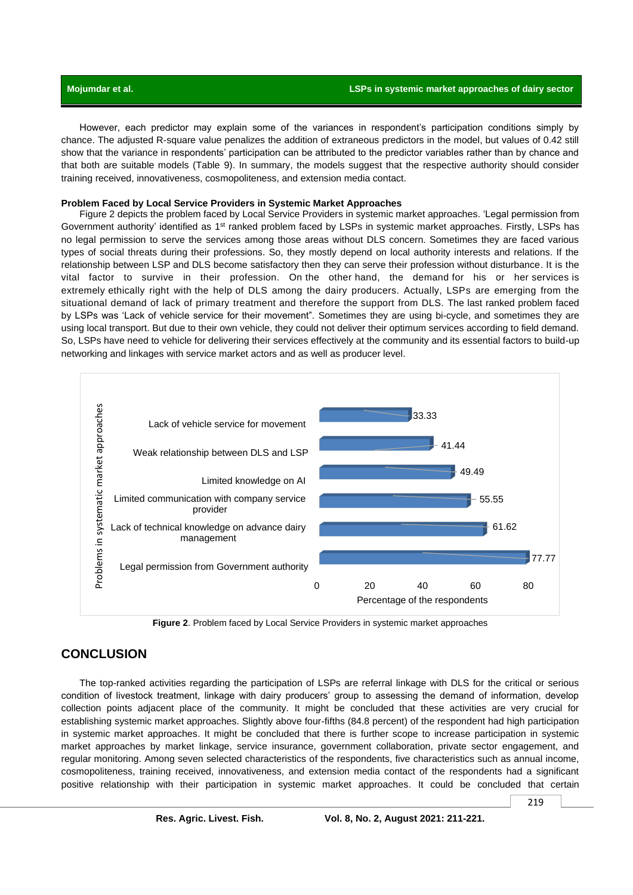However, each predictor may explain some of the variances in respondent's participation conditions simply by chance. The adjusted R-square value penalizes the addition of extraneous predictors in the model, but values of 0.42 still show that the variance in respondents' participation can be attributed to the predictor variables rather than by chance and that both are suitable models (Table 9). In summary, the models suggest that the respective authority should consider training received, innovativeness, cosmopoliteness, and extension media contact.

#### **Problem Faced by Local Service Providers in Systemic Market Approaches**

Figure 2 depicts the problem faced by Local Service Providers in systemic market approaches. 'Legal permission from Government authority' identified as 1<sup>st</sup> ranked problem faced by LSPs in systemic market approaches. Firstly, LSPs has no legal permission to serve the services among those areas without DLS concern. Sometimes they are faced various types of social threats during their professions. So, they mostly depend on local authority interests and relations. If the relationship between LSP and DLS become satisfactory then they can serve their profession without disturbance. It is the vital factor to survive in their profession. On the other hand, the demand for his or her services is extremely ethically right with the help of DLS among the dairy producers. Actually, LSPs are emerging from the situational demand of lack of primary treatment and therefore the support from DLS. The last ranked problem faced by LSPs was 'Lack of vehicle service for their movement". Sometimes they are using bi-cycle, and sometimes they are using local transport. But due to their own vehicle, they could not deliver their optimum services according to field demand. So, LSPs have need to vehicle for delivering their services effectively at the community and its essential factors to build-up networking and linkages with service market actors and as well as producer level.



**Figure 2**. Problem faced by Local Service Providers in systemic market approaches

# **CONCLUSION**

The top-ranked activities regarding the participation of LSPs are referral linkage with DLS for the critical or serious condition of livestock treatment, linkage with dairy producers' group to assessing the demand of information, develop collection points adjacent place of the community. It might be concluded that these activities are very crucial for establishing systemic market approaches. Slightly above four-fifths (84.8 percent) of the respondent had high participation in systemic market approaches. It might be concluded that there is further scope to increase participation in systemic market approaches by market linkage, service insurance, government collaboration, private sector engagement, and regular monitoring. Among seven selected characteristics of the respondents, five characteristics such as annual income, cosmopoliteness, training received, innovativeness, and extension media contact of the respondents had a significant positive relationship with their participation in systemic market approaches. It could be concluded that certain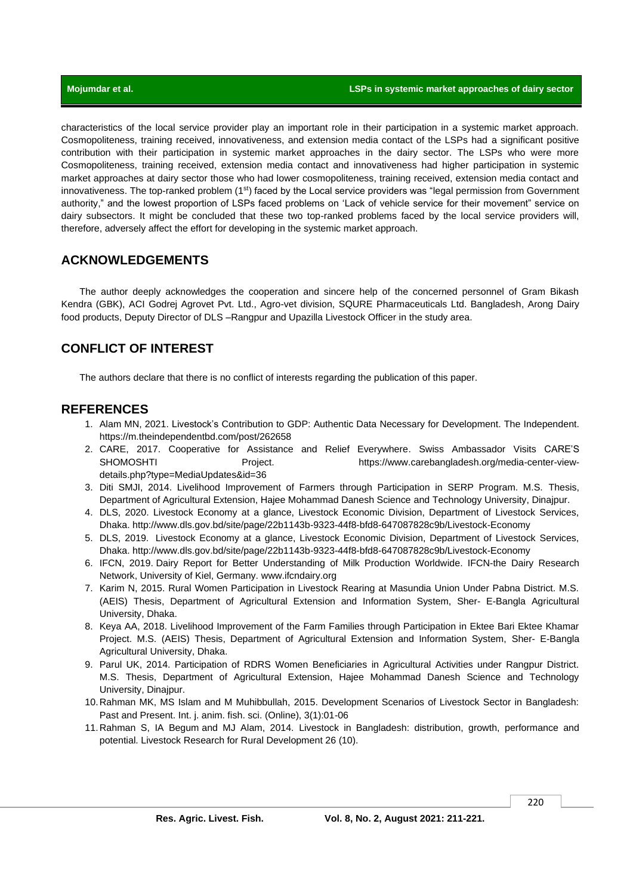characteristics of the local service provider play an important role in their participation in a systemic market approach. Cosmopoliteness, training received, innovativeness, and extension media contact of the LSPs had a significant positive contribution with their participation in systemic market approaches in the dairy sector. The LSPs who were more Cosmopoliteness, training received, extension media contact and innovativeness had higher participation in systemic market approaches at dairy sector those who had lower cosmopoliteness, training received, extension media contact and innovativeness. The top-ranked problem (1<sup>st</sup>) faced by the Local service providers was "legal permission from Government authority," and the lowest proportion of LSPs faced problems on 'Lack of vehicle service for their movement" service on dairy subsectors. It might be concluded that these two top-ranked problems faced by the local service providers will, therefore, adversely affect the effort for developing in the systemic market approach.

# **ACKNOWLEDGEMENTS**

The author deeply acknowledges the cooperation and sincere help of the concerned personnel of Gram Bikash Kendra (GBK), ACI Godrej Agrovet Pvt. Ltd., Agro-vet division, SQURE Pharmaceuticals Ltd. Bangladesh, Arong Dairy food products, Deputy Director of DLS –Rangpur and Upazilla Livestock Officer in the study area.

# **CONFLICT OF INTEREST**

The authors declare that there is no conflict of interests regarding the publication of this paper.

## **REFERENCES**

- 1. Alam MN, 2021. Livestock's Contribution to GDP: Authentic Data Necessary for Development. The Independent. https://m.theindependentbd.com/post/262658
- 2. CARE, 2017. Cooperative for Assistance and Relief Everywhere. Swiss Ambassador Visits CARE'S SHOMOSHTI Project. https://www.carebangladesh.org/media-center-viewdetails.php?type=MediaUpdates&id=36
- 3. Diti SMJI, 2014. Livelihood Improvement of Farmers through Participation in SERP Program. M.S. Thesis, Department of Agricultural Extension, Hajee Mohammad Danesh Science and Technology University, Dinajpur.
- 4. DLS, 2020. Livestock Economy at a glance, Livestock Economic Division, Department of Livestock Services, Dhaka. http://www.dls.gov.bd/site/page/22b1143b-9323-44f8-bfd8-647087828c9b/Livestock-Economy
- 5. DLS, 2019. Livestock Economy at a glance, Livestock Economic Division, Department of Livestock Services, Dhaka. http://www.dls.gov.bd/site/page/22b1143b-9323-44f8-bfd8-647087828c9b/Livestock-Economy
- 6. IFCN, 2019. Dairy Report for Better Understanding of Milk Production Worldwide. IFCN-the Dairy Research Network, University of Kiel, Germany. www.ifcndairy.org
- 7. Karim N, 2015. Rural Women Participation in Livestock Rearing at Masundia Union Under Pabna District. M.S. (AEIS) Thesis, Department of Agricultural Extension and Information System, Sher- E-Bangla Agricultural University, Dhaka.
- 8. Keya AA, 2018. Livelihood Improvement of the Farm Families through Participation in Ektee Bari Ektee Khamar Project. M.S. (AEIS) Thesis, Department of Agricultural Extension and Information System, Sher- E-Bangla Agricultural University, Dhaka.
- 9. Parul UK, 2014. Participation of RDRS Women Beneficiaries in Agricultural Activities under Rangpur District. M.S. Thesis, Department of Agricultural Extension, Hajee Mohammad Danesh Science and Technology University, Dinajpur.
- 10.Rahman MK, MS Islam and M Muhibbullah, 2015. Development Scenarios of Livestock Sector in Bangladesh: Past and Present. Int. j. anim. fish. sci. (Online), 3(1):01-06
- 11.Rahman S, IA Begum and MJ Alam, 2014. Livestock in Bangladesh: distribution, growth, performance and potential[. Livestock Research for Rural Development 26 \(10\).](http://www.lrrd.org/lrrd26/10/cont2610.htm)